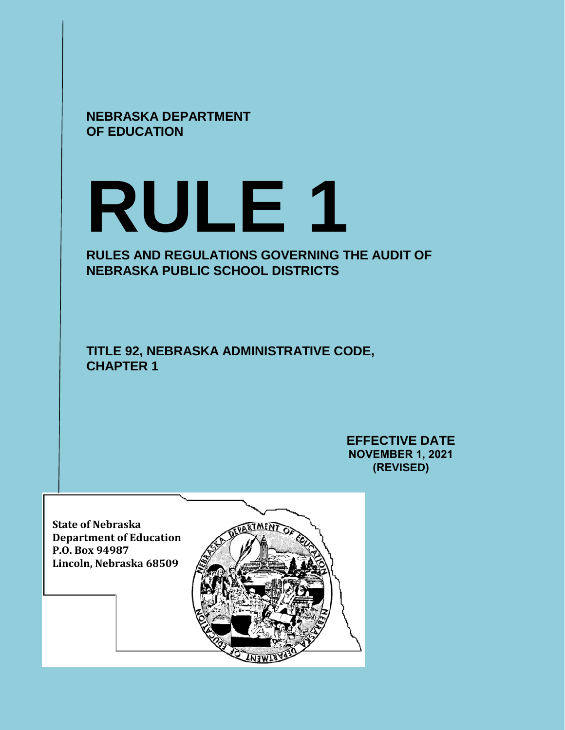

# **RULE 1**

# **RULES AND REGULATIONS GOVERNING THE AUDIT OF NEBRASKA PUBLIC SCHOOL DISTRICTS**

**TITLE 92, NEBRASKA ADMINISTRATIVE CODE, CHAPTER 1** 

> **EFFECTIVE DATE NOVEMBER 1, 2021 (REVISED)**

**State of Nebraska Department of Education P.O. Box 94987 Lincoln, Nebraska 68509** 

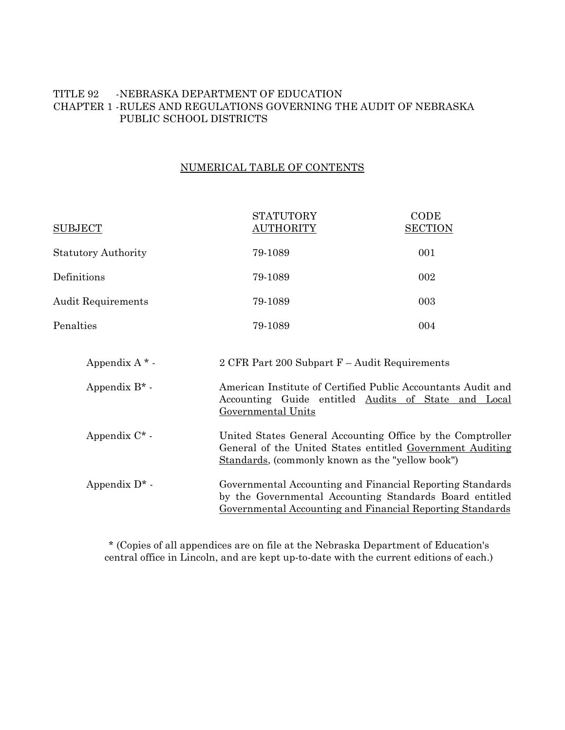# TITLE 92 -NEBRASKA DEPARTMENT OF EDUCATION CHAPTER 1 -RULES AND REGULATIONS GOVERNING THE AUDIT OF NEBRASKA PUBLIC SCHOOL DISTRICTS

# NUMERICAL TABLE OF CONTENTS

| <b>SUBJECT</b>             | <b>STATUTORY</b><br><b>AUTHORITY</b>                                                                                                                                              | CODE<br><b>SECTION</b> |
|----------------------------|-----------------------------------------------------------------------------------------------------------------------------------------------------------------------------------|------------------------|
| <b>Statutory Authority</b> | 79-1089                                                                                                                                                                           | 001                    |
| Definitions                | 79-1089                                                                                                                                                                           | 002                    |
| <b>Audit Requirements</b>  | 79-1089                                                                                                                                                                           | 003                    |
| Penalties                  | 79-1089                                                                                                                                                                           | 004                    |
| Appendix $A^*$ -           | 2 CFR Part 200 Subpart F – Audit Requirements                                                                                                                                     |                        |
| Appendix $B^*$ -           | American Institute of Certified Public Accountants Audit and<br>Accounting Guide entitled Audits of State and Local<br>Governmental Units                                         |                        |
| Appendix $C^*$ -           | United States General Accounting Office by the Comptroller<br>General of the United States entitled Government Auditing<br>Standards, (commonly known as the "yellow book")       |                        |
| Appendix $D^*$ .           | Governmental Accounting and Financial Reporting Standards<br>by the Governmental Accounting Standards Board entitled<br>Governmental Accounting and Financial Reporting Standards |                        |

\* (Copies of all appendices are on file at the Nebraska Department of Education's central office in Lincoln, and are kept up-to-date with the current editions of each.)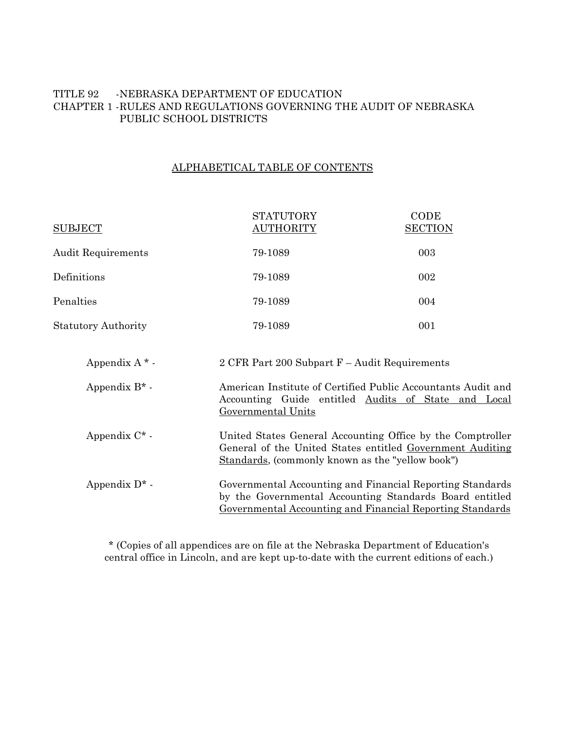# TITLE 92 -NEBRASKA DEPARTMENT OF EDUCATION CHAPTER 1 -RULES AND REGULATIONS GOVERNING THE AUDIT OF NEBRASKA PUBLIC SCHOOL DISTRICTS

# ALPHABETICAL TABLE OF CONTENTS

| <b>SUBJECT</b>             | <b>STATUTORY</b><br><u>AUTHORITY</u>                                                                                                                                              | CODE<br><b>SECTION</b> |  |
|----------------------------|-----------------------------------------------------------------------------------------------------------------------------------------------------------------------------------|------------------------|--|
| <b>Audit Requirements</b>  | 79-1089                                                                                                                                                                           | 003                    |  |
| Definitions                | 79-1089                                                                                                                                                                           | 002                    |  |
| Penalties                  | 79-1089                                                                                                                                                                           | 004                    |  |
| <b>Statutory Authority</b> | 79-1089                                                                                                                                                                           | 001                    |  |
| Appendix $A^*$ -           | 2 CFR Part 200 Subpart F – Audit Requirements                                                                                                                                     |                        |  |
| Appendix $B^*$ -           | American Institute of Certified Public Accountants Audit and<br>Accounting Guide entitled Audits of State and Local<br>Governmental Units                                         |                        |  |
| Appendix $C^*$ -           | United States General Accounting Office by the Comptroller<br>General of the United States entitled Government Auditing<br>Standards, (commonly known as the "yellow book")       |                        |  |
| Appendix $D^*$ -           | Governmental Accounting and Financial Reporting Standards<br>by the Governmental Accounting Standards Board entitled<br>Governmental Accounting and Financial Reporting Standards |                        |  |

\* (Copies of all appendices are on file at the Nebraska Department of Education's central office in Lincoln, and are kept up-to-date with the current editions of each.)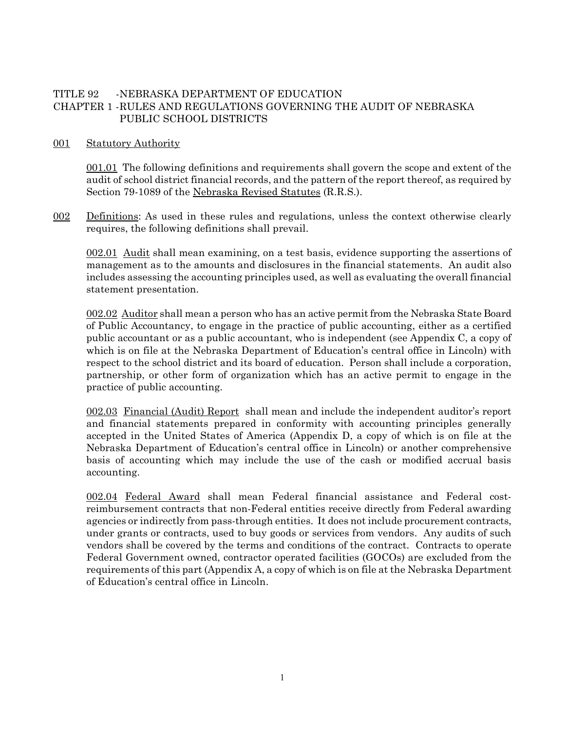# TITLE 92 -NEBRASKA DEPARTMENT OF EDUCATION CHAPTER 1 -RULES AND REGULATIONS GOVERNING THE AUDIT OF NEBRASKA PUBLIC SCHOOL DISTRICTS

#### 001 Statutory Authority

001.01 The following definitions and requirements shall govern the scope and extent of the audit of school district financial records, and the pattern of the report thereof, as required by Section 79-1089 of the Nebraska Revised Statutes (R.R.S.).

<u>002</u> Definitions: As used in these rules and regulations, unless the context otherwise clearly requires, the following definitions shall prevail.

002.01 Audit shall mean examining, on a test basis, evidence supporting the assertions of management as to the amounts and disclosures in the financial statements. An audit also includes assessing the accounting principles used, as well as evaluating the overall financial statement presentation.

002.02 Auditor shall mean a person who has an active permit from the Nebraska State Board of Public Accountancy, to engage in the practice of public accounting, either as a certified public accountant or as a public accountant, who is independent (see Appendix C, a copy of which is on file at the Nebraska Department of Education's central office in Lincoln) with respect to the school district and its board of education. Person shall include a corporation, partnership, or other form of organization which has an active permit to engage in the practice of public accounting.

002.03 Financial (Audit) Report shall mean and include the independent auditor's report and financial statements prepared in conformity with accounting principles generally accepted in the United States of America (Appendix D, a copy of which is on file at the Nebraska Department of Education's central office in Lincoln) or another comprehensive basis of accounting which may include the use of the cash or modified accrual basis accounting.

002.04 Federal Award shall mean Federal financial assistance and Federal costreimbursement contracts that non-Federal entities receive directly from Federal awarding agencies or indirectly from pass-through entities. It does not include procurement contracts, under grants or contracts, used to buy goods or services from vendors. Any audits of such vendors shall be covered by the terms and conditions of the contract. Contracts to operate Federal Government owned, contractor operated facilities (GOCOs) are excluded from the requirements of this part (Appendix A, a copy of which is on file at the Nebraska Department of Education's central office in Lincoln.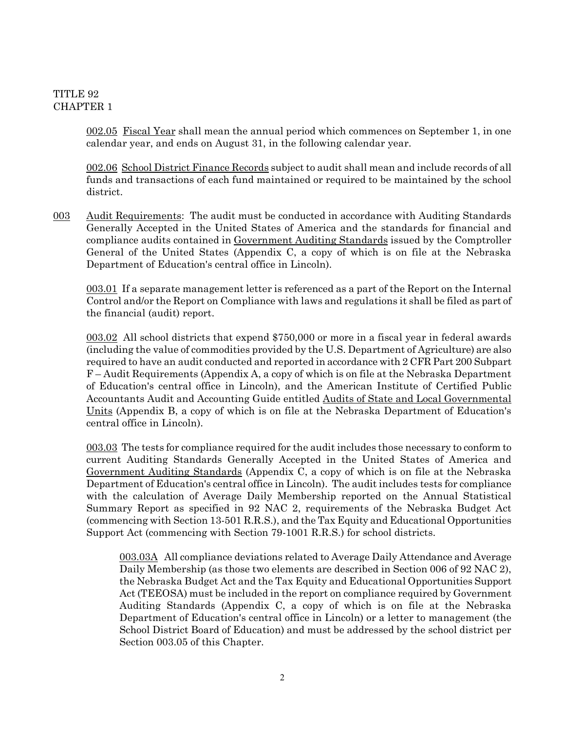002.05 Fiscal Year shall mean the annual period which commences on September 1, in one calendar year, and ends on August 31, in the following calendar year.

002.06 School District Finance Records subject to audit shall mean and include records of all funds and transactions of each fund maintained or required to be maintained by the school district.

003 Audit Requirements: The audit must be conducted in accordance with Auditing Standards Generally Accepted in the United States of America and the standards for financial and compliance audits contained in Government Auditing Standards issued by the Comptroller General of the United States (Appendix C, a copy of which is on file at the Nebraska Department of Education's central office in Lincoln).

003.01 If a separate management letter is referenced as a part of the Report on the Internal Control and/or the Report on Compliance with laws and regulations it shall be filed as part of the financial (audit) report.

003.02 All school districts that expend \$750,000 or more in a fiscal year in federal awards (including the value of commodities provided by the U.S. Department of Agriculture) are also required to have an audit conducted and reported in accordance with 2 CFR Part 200 Subpart F – Audit Requirements (Appendix A, a copy of which is on file at the Nebraska Department of Education's central office in Lincoln), and the American Institute of Certified Public Accountants Audit and Accounting Guide entitled Audits of State and Local Governmental Units (Appendix B, a copy of which is on file at the Nebraska Department of Education's central office in Lincoln).

003.03 The tests for compliance required for the audit includes those necessary to conform to current Auditing Standards Generally Accepted in the United States of America and Government Auditing Standards (Appendix C, a copy of which is on file at the Nebraska Department of Education's central office in Lincoln). The audit includes tests for compliance with the calculation of Average Daily Membership reported on the Annual Statistical Summary Report as specified in 92 NAC 2, requirements of the Nebraska Budget Act (commencing with Section 13-501 R.R.S.), and the Tax Equity and Educational Opportunities Support Act (commencing with Section 79-1001 R.R.S.) for school districts.

003.03A All compliance deviations related to Average Daily Attendance and Average Daily Membership (as those two elements are described in Section 006 of 92 NAC 2), the Nebraska Budget Act and the Tax Equity and Educational Opportunities Support Act (TEEOSA) must be included in the report on compliance required by Government Auditing Standards (Appendix C, a copy of which is on file at the Nebraska Department of Education's central office in Lincoln) or a letter to management (the School District Board of Education) and must be addressed by the school district per Section 003.05 of this Chapter.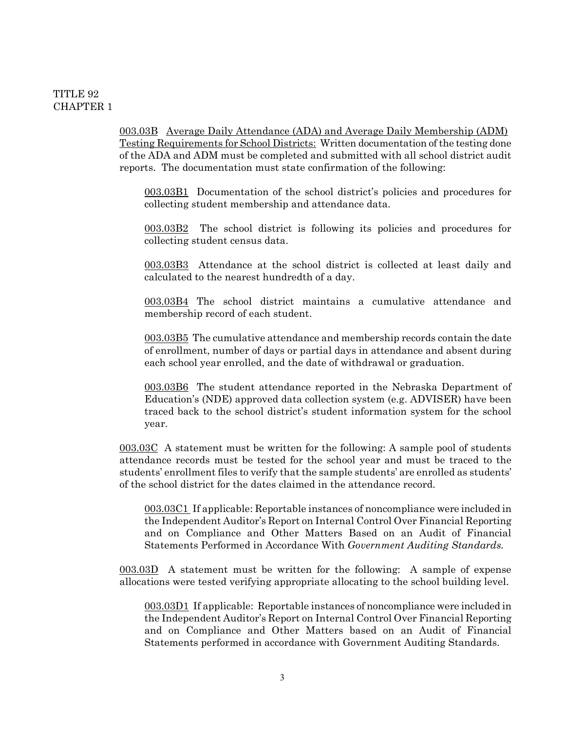003.03B Average Daily Attendance (ADA) and Average Daily Membership (ADM) Testing Requirements for School Districts: Written documentation of the testing done of the ADA and ADM must be completed and submitted with all school district audit reports. The documentation must state confirmation of the following:

003.03B1 Documentation of the school district's policies and procedures for collecting student membership and attendance data.

003.03B2 The school district is following its policies and procedures for collecting student census data.

003.03B3 Attendance at the school district is collected at least daily and calculated to the nearest hundredth of a day.

003.03B4 The school district maintains a cumulative attendance and membership record of each student.

003.03B5 The cumulative attendance and membership records contain the date of enrollment, number of days or partial days in attendance and absent during each school year enrolled, and the date of withdrawal or graduation.

003.03B6 The student attendance reported in the Nebraska Department of Education's (NDE) approved data collection system (e.g. ADVISER) have been traced back to the school district's student information system for the school year.

003.03C A statement must be written for the following: A sample pool of students attendance records must be tested for the school year and must be traced to the students' enrollment files to verify that the sample students' are enrolled as students' of the school district for the dates claimed in the attendance record.

003.03C1 If applicable: Reportable instances of noncompliance were included in the Independent Auditor's Report on Internal Control Over Financial Reporting and on Compliance and Other Matters Based on an Audit of Financial Statements Performed in Accordance With *Government Auditing Standards.*

003.03D A statement must be written for the following: A sample of expense allocations were tested verifying appropriate allocating to the school building level.

003.03D1 If applicable: Reportable instances of noncompliance were included in the Independent Auditor's Report on Internal Control Over Financial Reporting and on Compliance and Other Matters based on an Audit of Financial Statements performed in accordance with Government Auditing Standards.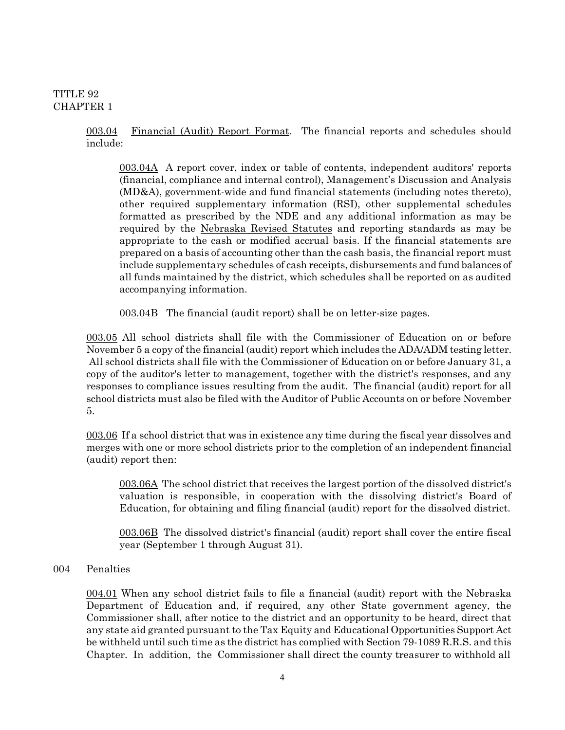003.04 Financial (Audit) Report Format. The financial reports and schedules should include:

003.04A A report cover, index or table of contents, independent auditors' reports (financial, compliance and internal control), Management's Discussion and Analysis (MD&A), government-wide and fund financial statements (including notes thereto), other required supplementary information (RSI), other supplemental schedules formatted as prescribed by the NDE and any additional information as may be required by the Nebraska Revised Statutes and reporting standards as may be appropriate to the cash or modified accrual basis. If the financial statements are prepared on a basis of accounting other than the cash basis, the financial report must include supplementary schedules of cash receipts, disbursements and fund balances of all funds maintained by the district, which schedules shall be reported on as audited accompanying information.

003.04B The financial (audit report) shall be on letter-size pages.

003.05 All school districts shall file with the Commissioner of Education on or before November 5 a copy of the financial (audit) report which includes the ADA/ADM testing letter. All school districts shall file with the Commissioner of Education on or before January 31, a copy of the auditor's letter to management, together with the district's responses, and any responses to compliance issues resulting from the audit. The financial (audit) report for all school districts must also be filed with the Auditor of Public Accounts on or before November 5.

003.06 If a school district that was in existence any time during the fiscal year dissolves and merges with one or more school districts prior to the completion of an independent financial (audit) report then:

003.06A The school district that receives the largest portion of the dissolved district's valuation is responsible, in cooperation with the dissolving district's Board of Education, for obtaining and filing financial (audit) report for the dissolved district.

003.06B The dissolved district's financial (audit) report shall cover the entire fiscal year (September 1 through August 31).

#### 004 Penalties

004.01 When any school district fails to file a financial (audit) report with the Nebraska Department of Education and, if required, any other State government agency, the Commissioner shall, after notice to the district and an opportunity to be heard, direct that any state aid granted pursuant to the Tax Equity and Educational Opportunities Support Act be withheld until such time as the district has complied with Section 79-1089 R.R.S. and this Chapter. In addition, the Commissioner shall direct the county treasurer to withhold all